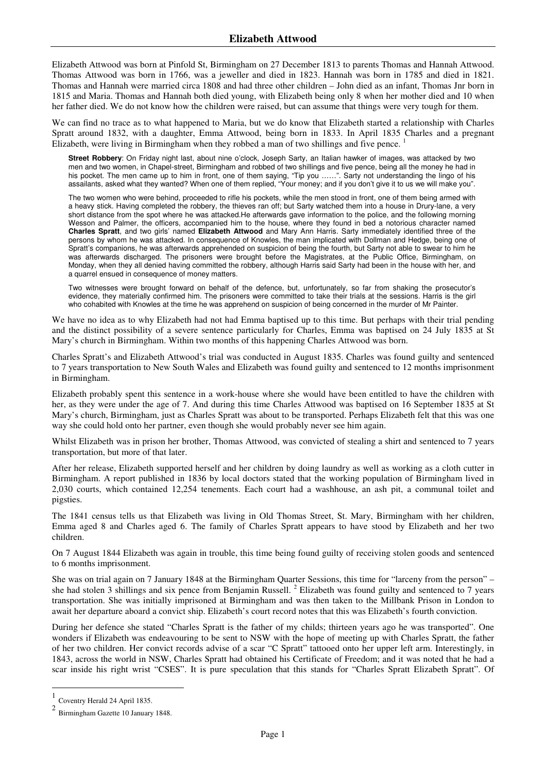Elizabeth Attwood was born at Pinfold St, Birmingham on 27 December 1813 to parents Thomas and Hannah Attwood. Thomas Attwood was born in 1766, was a jeweller and died in 1823. Hannah was born in 1785 and died in 1821. Thomas and Hannah were married circa 1808 and had three other children – John died as an infant, Thomas Jnr born in 1815 and Maria. Thomas and Hannah both died young, with Elizabeth being only 8 when her mother died and 10 when her father died. We do not know how the children were raised, but can assume that things were very tough for them.

We can find no trace as to what happened to Maria, but we do know that Elizabeth started a relationship with Charles Spratt around 1832, with a daughter, Emma Attwood, being born in 1833. In April 1835 Charles and a pregnant Elizabeth, were living in Birmingham when they robbed a man of two shillings and five pence. <sup>1</sup>

**Street Robbery**: On Friday night last, about nine o'clock, Joseph Sarty, an Italian hawker of images, was attacked by two men and two women, in Chapel-street, Birmingham and robbed of two shillings and five pence, being all the money he had in his pocket. The men came up to him in front, one of them saying, "Tip you ……". Sarty not understanding the lingo of his assailants, asked what they wanted? When one of them replied, "Your money; and if you don't give it to us we will make you".

The two women who were behind, proceeded to rifle his pockets, while the men stood in front, one of them being armed with a heavy stick. Having completed the robbery, the thieves ran off; but Sarty watched them into a house in Drury-lane, a very short distance from the spot where he was attacked.He afterwards gave information to the police, and the following morning Wesson and Palmer, the officers, accompanied him to the house, where they found in bed a notorious character named **Charles Spratt**, and two girls' named **Elizabeth Attwood** and Mary Ann Harris. Sarty immediately identified three of the persons by whom he was attacked. In consequence of Knowles, the man implicated with Dollman and Hedge, being one of Spratt's companions, he was afterwards apprehended on suspicion of being the fourth, but Sarty not able to swear to him he was afterwards discharged. The prisoners were brought before the Magistrates, at the Public Office, Birmingham, on Monday, when they all denied having committed the robbery, although Harris said Sarty had been in the house with her, and a quarrel ensued in consequence of money matters.

Two witnesses were brought forward on behalf of the defence, but, unfortunately, so far from shaking the prosecutor's evidence, they materially confirmed him. The prisoners were committed to take their trials at the sessions. Harris is the girl who cohabited with Knowles at the time he was apprehend on suspicion of being concerned in the murder of Mr Painter.

We have no idea as to why Elizabeth had not had Emma baptised up to this time. But perhaps with their trial pending and the distinct possibility of a severe sentence particularly for Charles, Emma was baptised on 24 July 1835 at St Mary's church in Birmingham. Within two months of this happening Charles Attwood was born.

Charles Spratt's and Elizabeth Attwood's trial was conducted in August 1835. Charles was found guilty and sentenced to 7 years transportation to New South Wales and Elizabeth was found guilty and sentenced to 12 months imprisonment in Birmingham.

Elizabeth probably spent this sentence in a work-house where she would have been entitled to have the children with her, as they were under the age of 7. And during this time Charles Attwood was baptised on 16 September 1835 at St Mary's church, Birmingham, just as Charles Spratt was about to be transported. Perhaps Elizabeth felt that this was one way she could hold onto her partner, even though she would probably never see him again.

Whilst Elizabeth was in prison her brother, Thomas Attwood, was convicted of stealing a shirt and sentenced to 7 years transportation, but more of that later.

After her release, Elizabeth supported herself and her children by doing laundry as well as working as a cloth cutter in Birmingham. A report published in 1836 by local doctors stated that the working population of Birmingham lived in 2,030 courts, which contained 12,254 tenements. Each court had a washhouse, an ash pit, a communal toilet and pigsties.

The 1841 census tells us that Elizabeth was living in Old Thomas Street, St. Mary, Birmingham with her children, Emma aged 8 and Charles aged 6. The family of Charles Spratt appears to have stood by Elizabeth and her two children.

On 7 August 1844 Elizabeth was again in trouble, this time being found guilty of receiving stolen goods and sentenced to 6 months imprisonment.

She was on trial again on 7 January 1848 at the Birmingham Quarter Sessions, this time for "larceny from the person" – she had stolen 3 shillings and six pence from Benjamin Russell.<sup>2</sup> Elizabeth was found guilty and sentenced to 7 years transportation. She was initially imprisoned at Birmingham and was then taken to the Millbank Prison in London to await her departure aboard a convict ship. Elizabeth's court record notes that this was Elizabeth's fourth conviction.

During her defence she stated "Charles Spratt is the father of my childs; thirteen years ago he was transported". One wonders if Elizabeth was endeavouring to be sent to NSW with the hope of meeting up with Charles Spratt, the father of her two children. Her convict records advise of a scar "C Spratt" tattooed onto her upper left arm. Interestingly, in 1843, across the world in NSW, Charles Spratt had obtained his Certificate of Freedom; and it was noted that he had a scar inside his right wrist "CSES". It is pure speculation that this stands for "Charles Spratt Elizabeth Spratt". Of

 $\overline{a}$ 

<sup>1</sup> Coventry Herald 24 April 1835.

<sup>2</sup> Birmingham Gazette 10 January 1848.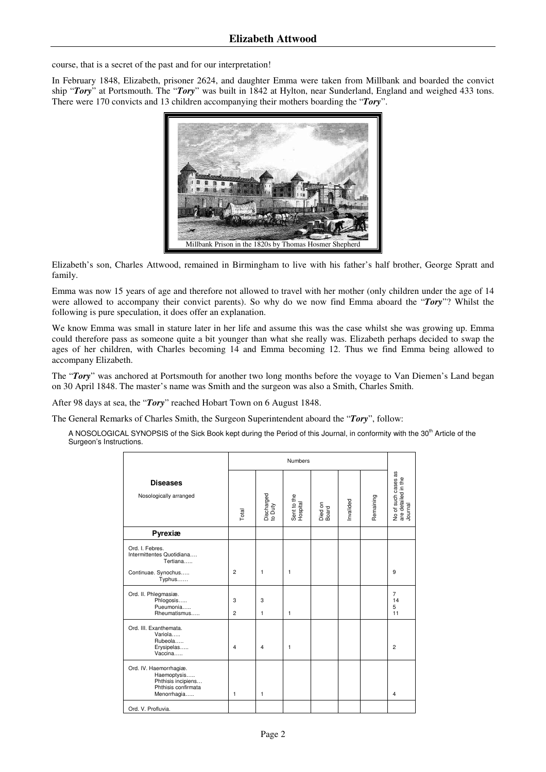course, that is a secret of the past and for our interpretation!

In February 1848, Elizabeth, prisoner 2624, and daughter Emma were taken from Millbank and boarded the convict ship "*Tory*" at Portsmouth. The "*Tory*" was built in 1842 at Hylton, near Sunderland, England and weighed 433 tons. There were 170 convicts and 13 children accompanying their mothers boarding the "*Tory*".



Elizabeth's son, Charles Attwood, remained in Birmingham to live with his father's half brother, George Spratt and family.

Emma was now 15 years of age and therefore not allowed to travel with her mother (only children under the age of 14 were allowed to accompany their convict parents). So why do we now find Emma aboard the "*Tory*"? Whilst the following is pure speculation, it does offer an explanation.

We know Emma was small in stature later in her life and assume this was the case whilst she was growing up. Emma could therefore pass as someone quite a bit younger than what she really was. Elizabeth perhaps decided to swap the ages of her children, with Charles becoming 14 and Emma becoming 12. Thus we find Emma being allowed to accompany Elizabeth.

The "*Tory*" was anchored at Portsmouth for another two long months before the voyage to Van Diemen's Land began on 30 April 1848. The master's name was Smith and the surgeon was also a Smith, Charles Smith.

After 98 days at sea, the "*Tory*" reached Hobart Town on 6 August 1848.

The General Remarks of Charles Smith, the Surgeon Superintendent aboard the "*Tory*", follow:

A NOSOLOGICAL SYNOPSIS of the Sick Book kept during the Period of this Journal, in conformity with the 30<sup>th</sup> Article of the Surgeon's Instructions.

|                                                                                                   | Numbers        |                       |                         |                  |          |           |                                                       |
|---------------------------------------------------------------------------------------------------|----------------|-----------------------|-------------------------|------------------|----------|-----------|-------------------------------------------------------|
| <b>Diseases</b><br>Nosologically arranged                                                         | Total          | Discharged<br>to Duty | Sent to the<br>Hospital | Died on<br>Board | nvalided | Remaining | No of such cases as<br>are detailed in the<br>Journal |
| Pyrexiæ                                                                                           |                |                       |                         |                  |          |           |                                                       |
| Ord. I. Febres.<br>Intermittentes Quotidiana<br>Tertiana<br>Continuae. Synochus                   | $\overline{2}$ | $\mathbf{1}$          | 1                       |                  |          |           | 9                                                     |
| Typhus                                                                                            |                |                       |                         |                  |          |           |                                                       |
| Ord. II. Phlegmasiæ.<br>Phlogosis<br>Pueumonia                                                    | 3              | 3                     |                         |                  |          |           | $\overline{7}$<br>14<br>5                             |
| Rheumatismus                                                                                      | $\overline{2}$ | $\mathbf{1}$          | 1                       |                  |          |           | 11                                                    |
| Ord. III. Exanthemata.<br>Variola<br>Rubeola<br>Erysipelas<br>Vaccina                             | 4              | 4                     | 1                       |                  |          |           | $\overline{2}$                                        |
| Ord. IV. Haemorrhagiæ.<br>Haemoptysis<br>Phthisis incipiens<br>Phthisis confirmata<br>Menorrhagia | $\mathbf{1}$   | 1                     |                         |                  |          |           | $\overline{\mathbf{4}}$                               |
| Ord. V. Profluvia.                                                                                |                |                       |                         |                  |          |           |                                                       |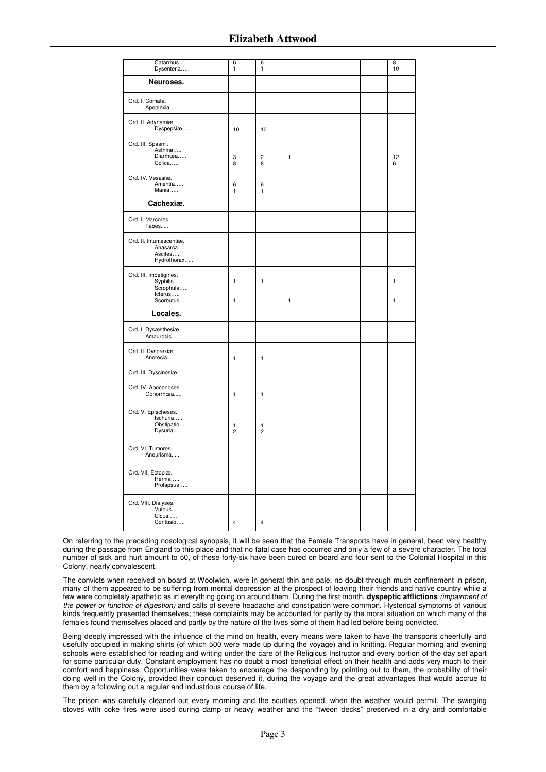## **Elizabeth Attwood**

| Catarrhus<br>Dysenteria                                                 | 6<br>$\mathbf{1}$   | 6<br>$\mathbf{1}$            |              |  | 8<br>10           |
|-------------------------------------------------------------------------|---------------------|------------------------------|--------------|--|-------------------|
| Neuroses.                                                               |                     |                              |              |  |                   |
| Ord. I. Comata.<br>Apoplexia                                            |                     |                              |              |  |                   |
| Ord. II. Adynamiæ.<br>Dyspepsiæ                                         | 10                  | 10                           |              |  |                   |
| Ord. III. Spasmi.<br>Asthma<br>Diarrhœa<br>Colica                       | 3<br>8              | $\overline{\mathbf{c}}$<br>8 | $\mathbf{1}$ |  | 12<br>6           |
| Ord. IV. Vesasiæ.<br>Amentia<br>Mania                                   | 6<br>$\mathbf{1}$   | 6<br>$\mathbf{1}$            |              |  |                   |
| Cachexiæ.                                                               |                     |                              |              |  |                   |
| Ord. I. Marcores.<br>Tabes                                              |                     |                              |              |  |                   |
| Ord. II. Intumescentiæ.<br>Anasarca<br>Ascites<br>Hydrothorax           |                     |                              |              |  |                   |
| Ord. III. Impetigines.<br>Syphilis<br>Scrophula<br>lcterus<br>Scorbutus | $\mathbf{1}$<br>1   | $\mathbf{1}$                 | $\mathbf{1}$ |  | $\mathbf{1}$<br>1 |
| Locales.                                                                |                     |                              |              |  |                   |
| Ord. I. Dysæsthesiæ.<br>Amaurosis                                       |                     |                              |              |  |                   |
| Ord. II. Dysorexiæ.<br>Anorecia                                         | $\mathbf{1}$        | $\mathbf{1}$                 |              |  |                   |
| Ord. III. Dyscinesiæ.                                                   |                     |                              |              |  |                   |
| Ord. IV. Apocenoses.<br>Gonorrhœa                                       | $\mathbf{1}$        | $\mathbf{1}$                 |              |  |                   |
| Ord. V. Epischeses.<br>Ischuria<br>Obstipatio<br>Dysuria                | 1<br>$\overline{c}$ | 1<br>$\overline{c}$          |              |  |                   |
| Ord. VI. Tumores.<br>Aneurisma                                          |                     |                              |              |  |                   |
| Ord. VII. Ectopiæ.<br>Hernia<br>Prolapsus                               |                     |                              |              |  |                   |
| Ord. VIII. Dialyses.<br>Vulnus<br>Ulcus<br>Contusio                     | $\pmb{4}$           | 4                            |              |  |                   |

On referring to the preceding nosological synopsis, it will be seen that the Female Transports have in general, been very healthy during the passage from England to this place and that no fatal case has occurred and only a few of a severe character. The total number of sick and hurt amount to 50, of these forty-six have been cured on board and four sent to the Colonial Hospital in this Colony, nearly convalescent.

The convicts when received on board at Woolwich, were in general thin and pale, no doubt through much confinement in prison, many of them appeared to be suffering from mental depression at the prospect of leaving their friends and native country while a few were completely apathetic as in everything going on around them. During the first month, **dyspeptic afflictions** (impairment of the power or function of digestion) and calls of severe headache and constipation were common. Hysterical symptoms of various kinds frequently presented themselves; these complaints may be accounted for partly by the moral situation on which many of the females found themselves placed and partly by the nature of the lives some of them had led before being convicted.

Being deeply impressed with the influence of the mind on health, every means were taken to have the transports cheerfully and usefully occupied in making shirts (of which 500 were made up during the voyage) and in knitting. Regular morning and evening schools were established for reading and writing under the care of the Religious Instructor and every portion of the day set apart for some particular duty. Constant employment has no doubt a most beneficial effect on their health and adds very much to their comfort and happiness. Opportunities were taken to encourage the desponding by pointing out to them, the probability of their doing well in the Colony, provided their conduct deserved it, during the voyage and the great advantages that would accrue to them by a following out a regular and industrious course of life.

The prison was carefully cleaned out every morning and the scuttles opened, when the weather would permit. The swinging stoves with coke fires were used during damp or heavy weather and the "tween decks" preserved in a dry and comfortable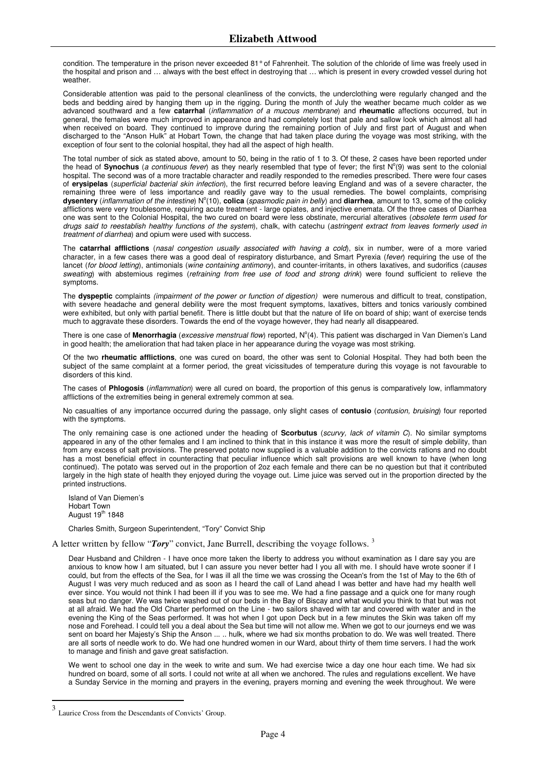condition. The temperature in the prison never exceeded 81° of Fahrenheit. The solution of the chloride of lime was freely used in the hospital and prison and … always with the best effect in destroying that … which is present in every crowded vessel during hot weather.

Considerable attention was paid to the personal cleanliness of the convicts, the underclothing were regularly changed and the beds and bedding aired by hanging them up in the rigging. During the month of July the weather became much colder as we advanced southward and a few **catarrhal** (inflammation of a mucous membrane) and **rheumatic** affections occurred, but in general, the females were much improved in appearance and had completely lost that pale and sallow look which almost all had when received on board. They continued to improve during the remaining portion of July and first part of August and when discharged to the "Anson Hulk" at Hobart Town, the change that had taken place during the voyage was most striking, with the exception of four sent to the colonial hospital, they had all the aspect of high health.

The total number of sick as stated above, amount to 50, being in the ratio of 1 to 3. Of these, 2 cases have been reported under the head of Synochus (a continuous fever) as they nearly resembled that type of fever; the first N°(9) was sent to the colonial hospital. The second was of a more tractable character and readily responded to the remedies prescribed. There were four cases of **erysipelas** (superficial bacterial skin infection), the first recurred before leaving England and was of a severe character, the remaining three were of less importance and readily gave way to the usual remedies. The bowel complaints, comprising dysentery (inflammation of the intestine) N°(10), colica (spasmodic pain in belly) and diarrhea, amount to 13, some of the colicky afflictions were very troublesome, requiring acute treatment - large opiates, and injective enemata. Of the three cases of Diarrhea one was sent to the Colonial Hospital, the two cured on board were less obstinate, mercurial alteratives (obsolete term used for drugs said to reestablish healthy functions of the system), chalk, with catechu (astringent extract from leaves formerly used in treatment of diarrhea) and opium were used with success.

The **catarrhal afflictions** (nasal congestion usually associated with having a cold), six in number, were of a more varied character, in a few cases there was a good deal of respiratory disturbance, and Smart Pyrexia (fever) requiring the use of the lancet (for blood letting), antimonials (wine containing antimony), and counter-irritants, in others laxatives, and sudorifics (causes sweating) with abstemious regimes (refraining from free use of food and strong drink) were found sufficient to relieve the symptoms.

The **dyspeptic** complaints (impairment of the power or function of digestion) were numerous and difficult to treat, constipation, with severe headache and general debility were the most frequent symptoms, laxatives, bitters and tonics variously combined were exhibited, but only with partial benefit. There is little doubt but that the nature of life on board of ship; want of exercise tends much to aggravate these disorders. Towards the end of the voyage however, they had nearly all disappeared.

There is one case of Menorrhagia (excessive menstrual flow) reported, N°(4). This patient was discharged in Van Diemen's Land in good health; the amelioration that had taken place in her appearance during the voyage was most striking.

Of the two **rheumatic afflictions**, one was cured on board, the other was sent to Colonial Hospital. They had both been the subject of the same complaint at a former period, the great vicissitudes of temperature during this voyage is not favourable to disorders of this kind.

The cases of **Phlogosis** (inflammation) were all cured on board, the proportion of this genus is comparatively low, inflammatory afflictions of the extremities being in general extremely common at sea.

No casualties of any importance occurred during the passage, only slight cases of **contusio** (contusion, bruising) four reported with the symptoms.

The only remaining case is one actioned under the heading of **Scorbutus** (scurvy, lack of vitamin C). No similar symptoms appeared in any of the other females and I am inclined to think that in this instance it was more the result of simple debility, than from any excess of salt provisions. The preserved potato now supplied is a valuable addition to the convicts rations and no doubt has a most beneficial effect in counteracting that peculiar influence which salt provisions are well known to have (when long continued). The potato was served out in the proportion of 2oz each female and there can be no question but that it contributed largely in the high state of health they enjoyed during the voyage out. Lime juice was served out in the proportion directed by the printed instructions.

Island of Van Diemen's Hobart Town August  $19<sup>th</sup> 1848$ 

Charles Smith, Surgeon Superintendent, "Tory" Convict Ship

A letter written by fellow "*Tory*" convict, Jane Burrell, describing the voyage follows. <sup>3</sup>

Dear Husband and Children - I have once more taken the liberty to address you without examination as I dare say you are anxious to know how I am situated, but I can assure you never better had I you all with me. I should have wrote sooner if I could, but from the effects of the Sea, for I was ill all the time we was crossing the Ocean's from the 1st of May to the 6th of August I was very much reduced and as soon as I heard the call of Land ahead I was better and have had my health well ever since. You would not think I had been ill if you was to see me. We had a fine passage and a quick one for many rough seas but no danger. We was twice washed out of our beds in the Bay of Biscay and what would you think to that but was not at all afraid. We had the Old Charter performed on the Line - two sailors shaved with tar and covered with water and in the evening the King of the Seas performed. It was hot when I got upon Deck but in a few minutes the Skin was taken off my nose and Forehead. I could tell you a deal about the Sea but time will not allow me. When we got to our journeys end we was sent on board her Majesty's Ship the Anson ... .. hulk, where we had six months probation to do. We was well treated. There are all sorts of needle work to do. We had one hundred women in our Ward, about thirty of them time servers. I had the work to manage and finish and gave great satisfaction.

We went to school one day in the week to write and sum. We had exercise twice a day one hour each time. We had six hundred on board, some of all sorts. I could not write at all when we anchored. The rules and regulations excellent. We have a Sunday Service in the morning and prayers in the evening, prayers morning and evening the week throughout. We were

 $\overline{a}$ 

<sup>3</sup> Laurice Cross from the Descendants of Convicts' Group.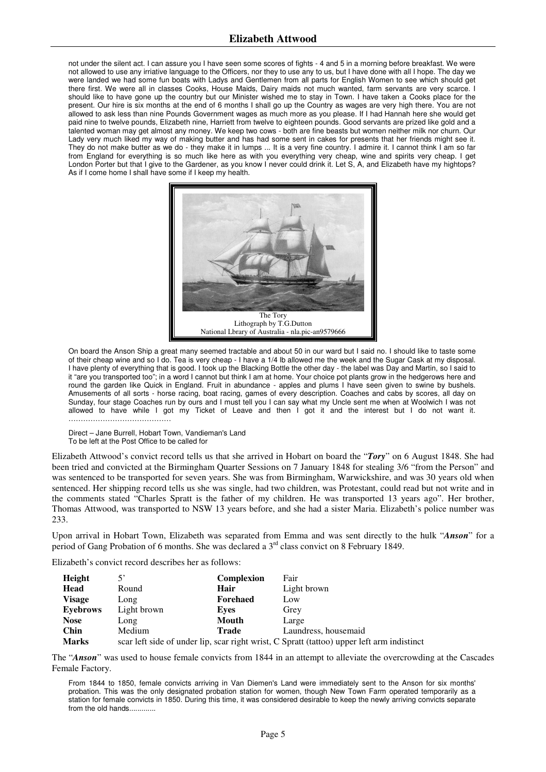not under the silent act. I can assure you I have seen some scores of fights - 4 and 5 in a morning before breakfast. We were not allowed to use any irriative language to the Officers, nor they to use any to us, but I have done with all I hope. The day we were landed we had some fun boats with Ladys and Gentlemen from all parts for English Women to see which should get there first. We were all in classes Cooks, House Maids, Dairy maids not much wanted, farm servants are very scarce. I should like to have gone up the country but our Minister wished me to stay in Town. I have taken a Cooks place for the present. Our hire is six months at the end of 6 months I shall go up the Country as wages are very high there. You are not allowed to ask less than nine Pounds Government wages as much more as you please. If I had Hannah here she would get paid nine to twelve pounds, Elizabeth nine, Harriett from twelve to eighteen pounds. Good servants are prized like gold and a talented woman may get almost any money. We keep two cows - both are fine beasts but women neither milk nor churn. Our Lady very much liked my way of making butter and has had some sent in cakes for presents that her friends might see it. They do not make butter as we do - they make it in lumps ... It is a very fine country. I admire it. I cannot think I am so far from England for everything is so much like here as with you everything very cheap, wine and spirits very cheap. I get London Porter but that I give to the Gardener, as you know I never could drink it. Let S, A, and Elizabeth have my hightops? As if I come home I shall have some if I keep my health.



On board the Anson Ship a great many seemed tractable and about 50 in our ward but I said no. I should like to taste some of their cheap wine and so I do. Tea is very cheap - I have a 1/4 lb allowed me the week and the Sugar Cask at my disposal. I have plenty of everything that is good. I took up the Blacking Bottle the other day - the label was Day and Martin, so I said to it "are you transported too"; in a word I cannot but think I am at home. Your choice pot plants grow in the hedgerows here and round the garden like Quick in England. Fruit in abundance - apples and plums I have seen given to swine by bushels. Amusements of all sorts - horse racing, boat racing, games of every description. Coaches and cabs by scores, all day on Sunday, four stage Coaches run by ours and I must tell you I can say what my Uncle sent me when at Woolwich I was not allowed to have while I got my Ticket of Leave and then I got it and the interest but I do not want it. ……………………………………

Direct – Jane Burrell, Hobart Town, Vandieman's Land To be left at the Post Office to be called for

Elizabeth Attwood's convict record tells us that she arrived in Hobart on board the "*Tory*" on 6 August 1848. She had been tried and convicted at the Birmingham Quarter Sessions on 7 January 1848 for stealing 3/6 "from the Person" and was sentenced to be transported for seven years. She was from Birmingham, Warwickshire, and was 30 years old when sentenced. Her shipping record tells us she was single, had two children, was Protestant, could read but not write and in the comments stated "Charles Spratt is the father of my children. He was transported 13 years ago". Her brother, Thomas Attwood, was transported to NSW 13 years before, and she had a sister Maria. Elizabeth's police number was 233.

Upon arrival in Hobart Town, Elizabeth was separated from Emma and was sent directly to the hulk "*Anson*" for a period of Gang Probation of 6 months. She was declared a 3rd class convict on 8 February 1849.

Elizabeth's convict record describes her as follows:

| Height          | 5'          | <b>Complexion</b> | Fair                                                                                       |
|-----------------|-------------|-------------------|--------------------------------------------------------------------------------------------|
| Head            | Round       | Hair              | Light brown                                                                                |
| <b>Visage</b>   | Long        | <b>Forehaed</b>   | Low                                                                                        |
| <b>Eyebrows</b> | Light brown | Eves              | Grey                                                                                       |
| <b>Nose</b>     | Long        | Mouth             | Large                                                                                      |
| <b>Chin</b>     | Medium      | Trade             | Laundress, housemaid                                                                       |
| <b>Marks</b>    |             |                   | scar left side of under lip, scar right wrist, C Spratt (tattoo) upper left arm indistinct |

The "*Anson*" was used to house female convicts from 1844 in an attempt to alleviate the overcrowding at the Cascades Female Factory.

From 1844 to 1850, female convicts arriving in Van Diemen's Land were immediately sent to the Anson for six months' probation. This was the only designated probation station for women, though New Town Farm operated temporarily as a station for female convicts in 1850. During this time, it was considered desirable to keep the newly arriving convicts separate from the old hands.............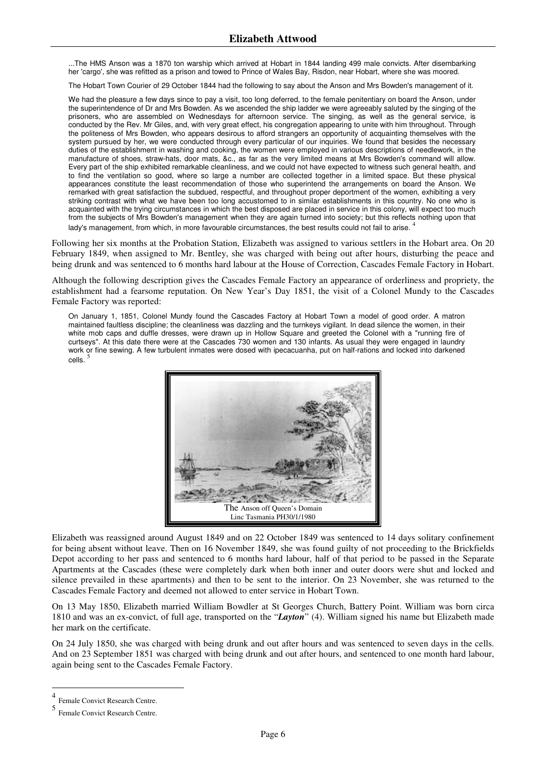...The HMS Anson was a 1870 ton warship which arrived at Hobart in 1844 landing 499 male convicts. After disembarking her 'cargo', she was refitted as a prison and towed to Prince of Wales Bay, Risdon, near Hobart, where she was moored.

The Hobart Town Courier of 29 October 1844 had the following to say about the Anson and Mrs Bowden's management of it.

We had the pleasure a few days since to pay a visit, too long deferred, to the female penitentiary on board the Anson, under the superintendence of Dr and Mrs Bowden. As we ascended the ship ladder we were agreeably saluted by the singing of the prisoners, who are assembled on Wednesdays for afternoon service. The singing, as well as the general service, is conducted by the Rev. Mr Giles, and, with very great effect, his congregation appearing to unite with him throughout. Through the politeness of Mrs Bowden, who appears desirous to afford strangers an opportunity of acquainting themselves with the system pursued by her, we were conducted through every particular of our inquiries. We found that besides the necessary duties of the establishment in washing and cooking, the women were employed in various descriptions of needlework, in the manufacture of shoes, straw-hats, door mats, &c., as far as the very limited means at Mrs Bowden's command will allow. Every part of the ship exhibited remarkable cleanliness, and we could not have expected to witness such general health, and to find the ventilation so good, where so large a number are collected together in a limited space. But these physical appearances constitute the least recommendation of those who superintend the arrangements on board the Anson. We remarked with great satisfaction the subdued, respectful, and throughout proper deportment of the women, exhibiting a very striking contrast with what we have been too long accustomed to in similar establishments in this country. No one who is acquainted with the trying circumstances in which the best disposed are placed in service in this colony, will expect too much from the subjects of Mrs Bowden's management when they are again turned into society; but this reflects nothing upon that lady's management, from which, in more favourable circumstances, the best results could not fail to arise.

Following her six months at the Probation Station, Elizabeth was assigned to various settlers in the Hobart area. On 20 February 1849, when assigned to Mr. Bentley, she was charged with being out after hours, disturbing the peace and being drunk and was sentenced to 6 months hard labour at the House of Correction, Cascades Female Factory in Hobart.

Although the following description gives the Cascades Female Factory an appearance of orderliness and propriety, the establishment had a fearsome reputation. On New Year's Day 1851, the visit of a Colonel Mundy to the Cascades Female Factory was reported:

On January 1, 1851, Colonel Mundy found the Cascades Factory at Hobart Town a model of good order. A matron maintained faultless discipline; the cleanliness was dazzling and the turnkeys vigilant. In dead silence the women, in their white mob caps and duffle dresses, were drawn up in Hollow Square and greeted the Colonel with a "running fire of curtseys". At this date there were at the Cascades 730 women and 130 infants. As usual they were engaged in laundry work or fine sewing. A few turbulent inmates were dosed with ipecacuanha, put on half-rations and locked into darkened cells.<sup>5</sup>



Elizabeth was reassigned around August 1849 and on 22 October 1849 was sentenced to 14 days solitary confinement for being absent without leave. Then on 16 November 1849, she was found guilty of not proceeding to the Brickfields Depot according to her pass and sentenced to 6 months hard labour, half of that period to be passed in the Separate Apartments at the Cascades (these were completely dark when both inner and outer doors were shut and locked and silence prevailed in these apartments) and then to be sent to the interior. On 23 November, she was returned to the Cascades Female Factory and deemed not allowed to enter service in Hobart Town.

On 13 May 1850, Elizabeth married William Bowdler at St Georges Church, Battery Point. William was born circa 1810 and was an ex-convict, of full age, transported on the "*Layton*" (4). William signed his name but Elizabeth made her mark on the certificate.

On 24 July 1850, she was charged with being drunk and out after hours and was sentenced to seven days in the cells. And on 23 September 1851 was charged with being drunk and out after hours, and sentenced to one month hard labour, again being sent to the Cascades Female Factory.

 $\overline{a}$ 

<sup>4</sup> Female Convict Research Centre.

<sup>5</sup> Female Convict Research Centre.